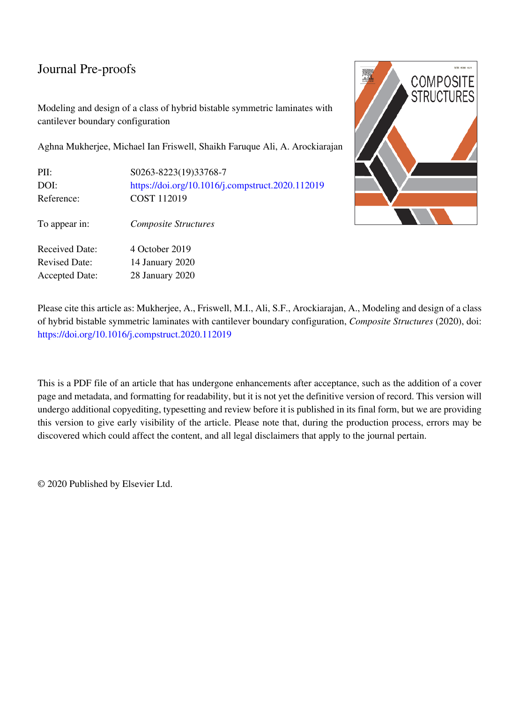# Journal Pre-proofs

Modeling and design of a class of hybrid bistable symmetric laminates with cantilever boundary configuration

Aghna Mukherjee, Michael Ian Friswell, Shaikh Faruque Ali, A. Arockiarajan

| PII:<br>DOI:<br>Reference: | S0263-8223(19)33768-7<br>https://doi.org/10.1016/j.compstruct.2020.112019<br>COST 112019 |
|----------------------------|------------------------------------------------------------------------------------------|
| To appear in:              | <b>Composite Structures</b>                                                              |
| Received Date:             | 4 October 2019                                                                           |
| <b>Revised Date:</b>       | 14 January 2020                                                                          |
| <b>Accepted Date:</b>      | 28 January 2020                                                                          |



Please cite this article as: Mukherjee, A., Friswell, M.I., Ali, S.F., Arockiarajan, A., Modeling and design of a class of hybrid bistable symmetric laminates with cantilever boundary configuration, *Composite Structures* (2020), doi: https://doi.org/10.1016/j.compstruct.2020.112019

This is a PDF file of an article that has undergone enhancements after acceptance, such as the addition of a cover page and metadata, and formatting for readability, but it is not yet the definitive version of record. This version will undergo additional copyediting, typesetting and review before it is published in its final form, but we are providing this version to give early visibility of the article. Please note that, during the production process, errors may be discovered which could affect the content, and all legal disclaimers that apply to the journal pertain.

© 2020 Published by Elsevier Ltd.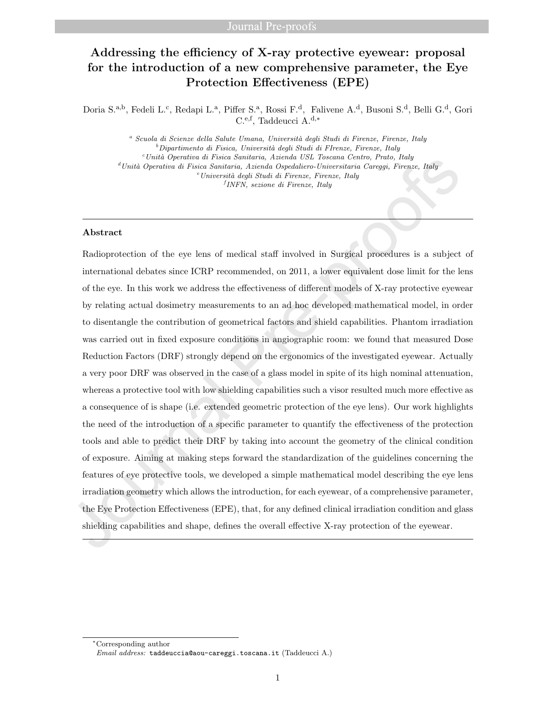## Addressing the efficiency of X-ray protective eyewear: proposal for the introduction of a new comprehensive parameter, the Eye Protection Effectiveness (EPE)

Doria S.<sup>a,b</sup>, Fedeli L.<sup>c</sup>, Redapi L.<sup>a</sup>, Piffer S.<sup>a</sup>, Rossi F.<sup>d</sup>, Falivene A.<sup>d</sup>, Busoni S.<sup>d</sup>, Belli G.<sup>d</sup>, Gori C.e,f, Taddeucci A.d,<sup>∗</sup>

<sup>a</sup> Scuola di Scienze della Salute Umana, Università degli Studi di Firenze, Firenze, Italy  $b$ Dipartimento di Fisica, Università degli Studi di FIrenze, Firenze, Italy  $c$ Unità Operativa di Fisica Sanitaria, Azienda USL Toscana Centro, Prato, Italy  ${}^d$ Unità Operativa di Fisica Sanitaria, Azienda Ospedaliero-Universitaria Careggi, Firenze, Italy  $e$ Università degli Studi di Firenze, Firenze, Italy f INFN, sezione di Firenze, Italy

#### Abstract

Radioprotection of the eye lens of medical staff involved in Surgical procedures is a subject of international debates since ICRP recommended, on 2011, a lower equivalent dose limit for the lens of the eye. In this work we address the effectiveness of different models of X-ray protective eyewear by relating actual dosimetry measurements to an ad hoc developed mathematical model, in order to disentangle the contribution of geometrical factors and shield capabilities. Phantom irradiation was carried out in fixed exposure conditions in angiographic room: we found that measured Dose Reduction Factors (DRF) strongly depend on the ergonomics of the investigated eyewear. Actually a very poor DRF was observed in the case of a glass model in spite of its high nominal attenuation, whereas a protective tool with low shielding capabilities such a visor resulted much more effective as a consequence of is shape (i.e. extended geometric protection of the eye lens). Our work highlights the need of the introduction of a specific parameter to quantify the effectiveness of the protection tools and able to predict their DRF by taking into account the geometry of the clinical condition of exposure. Aiming at making steps forward the standardization of the guidelines concerning the features of eye protective tools, we developed a simple mathematical model describing the eye lens irradiation geometry which allows the introduction, for each eyewear, of a comprehensive parameter, the Eye Protection Effectiveness (EPE), that, for any defined clinical irradiation condition and glass shielding capabilities and shape, defines the overall effective X-ray protection of the eyewear.

<sup>∗</sup>Corresponding author

Email address: taddeuccia@aou-careggi.toscana.it (Taddeucci A.)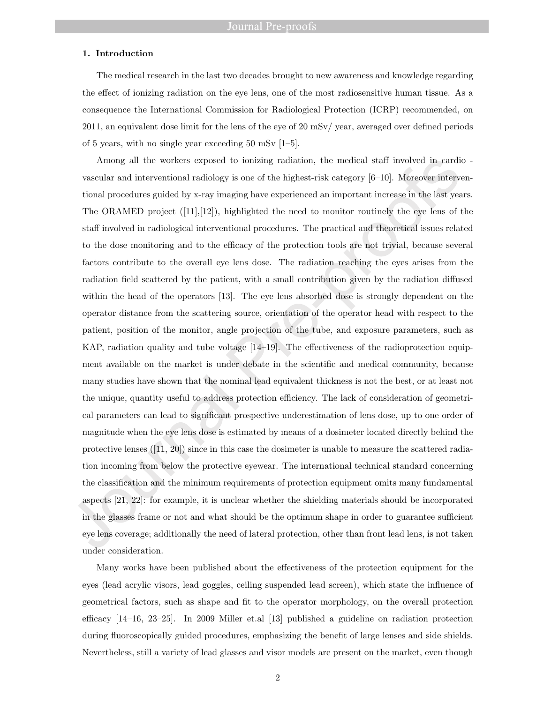#### 1. Introduction

The medical research in the last two decades brought to new awareness and knowledge regarding the effect of ionizing radiation on the eye lens, one of the most radiosensitive human tissue. As a consequence the International Commission for Radiological Protection (ICRP) recommended, on 2011, an equivalent dose limit for the lens of the eye of 20 mSv/ year, averaged over defined periods of 5 years, with no single year exceeding 50 mSv [1–5].

Among all the workers exposed to ionizing radiation, the medical staff involved in cardio vascular and interventional radiology is one of the highest-risk category [6–10]. Moreover interventional procedures guided by x-ray imaging have experienced an important increase in the last years. The ORAMED project  $([11],[12])$ , highlighted the need to monitor routinely the eye lens of the staff involved in radiological interventional procedures. The practical and theoretical issues related to the dose monitoring and to the efficacy of the protection tools are not trivial, because several factors contribute to the overall eye lens dose. The radiation reaching the eyes arises from the radiation field scattered by the patient, with a small contribution given by the radiation diffused within the head of the operators [13]. The eye lens absorbed dose is strongly dependent on the operator distance from the scattering source, orientation of the operator head with respect to the patient, position of the monitor, angle projection of the tube, and exposure parameters, such as KAP, radiation quality and tube voltage [14–19]. The effectiveness of the radioprotection equipment available on the market is under debate in the scientific and medical community, because many studies have shown that the nominal lead equivalent thickness is not the best, or at least not the unique, quantity useful to address protection efficiency. The lack of consideration of geometrical parameters can lead to significant prospective underestimation of lens dose, up to one order of magnitude when the eye lens dose is estimated by means of a dosimeter located directly behind the protective lenses  $([11, 20])$  since in this case the dosimeter is unable to measure the scattered radiation incoming from below the protective eyewear. The international technical standard concerning the classification and the minimum requirements of protection equipment omits many fundamental aspects [21, 22]: for example, it is unclear whether the shielding materials should be incorporated in the glasses frame or not and what should be the optimum shape in order to guarantee sufficient eye lens coverage; additionally the need of lateral protection, other than front lead lens, is not taken under consideration.

Many works have been published about the effectiveness of the protection equipment for the eyes (lead acrylic visors, lead goggles, ceiling suspended lead screen), which state the influence of geometrical factors, such as shape and fit to the operator morphology, on the overall protection efficacy [14–16, 23–25]. In 2009 Miller et.al [13] published a guideline on radiation protection during fluoroscopically guided procedures, emphasizing the benefit of large lenses and side shields. Nevertheless, still a variety of lead glasses and visor models are present on the market, even though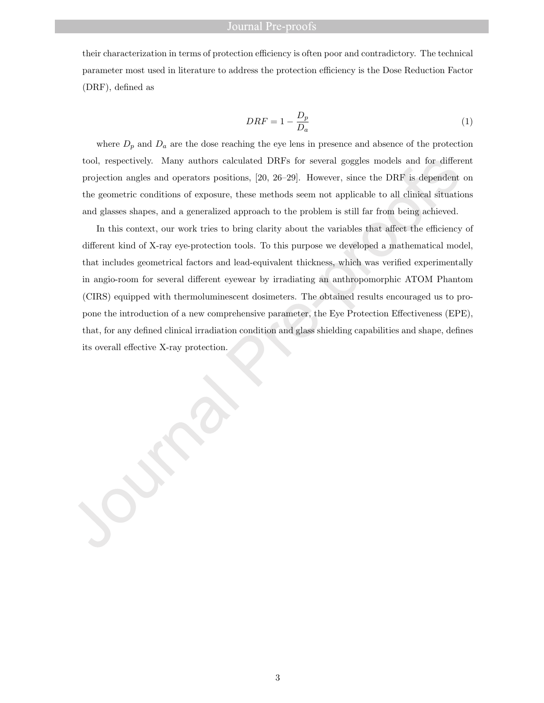#### Journal Pre-proofs

their characterization in terms of protection efficiency is often poor and contradictory. The technical parameter most used in literature to address the protection efficiency is the Dose Reduction Factor (DRF), defined as

$$
DRF = 1 - \frac{D_p}{D_a} \tag{1}
$$

where  $D_p$  and  $D_a$  are the dose reaching the eye lens in presence and absence of the protection tool, respectively. Many authors calculated DRFs for several goggles models and for different projection angles and operators positions, [20, 26–29]. However, since the DRF is dependent on the geometric conditions of exposure, these methods seem not applicable to all clinical situations and glasses shapes, and a generalized approach to the problem is still far from being achieved.

In this context, our work tries to bring clarity about the variables that affect the efficiency of different kind of X-ray eye-protection tools. To this purpose we developed a mathematical model, that includes geometrical factors and lead-equivalent thickness, which was verified experimentally in angio-room for several different eyewear by irradiating an anthropomorphic ATOM Phantom (CIRS) equipped with thermoluminescent dosimeters. The obtained results encouraged us to propone the introduction of a new comprehensive parameter, the Eye Protection Effectiveness (EPE), that, for any defined clinical irradiation condition and glass shielding capabilities and shape, defines its overall effective X-ray protection.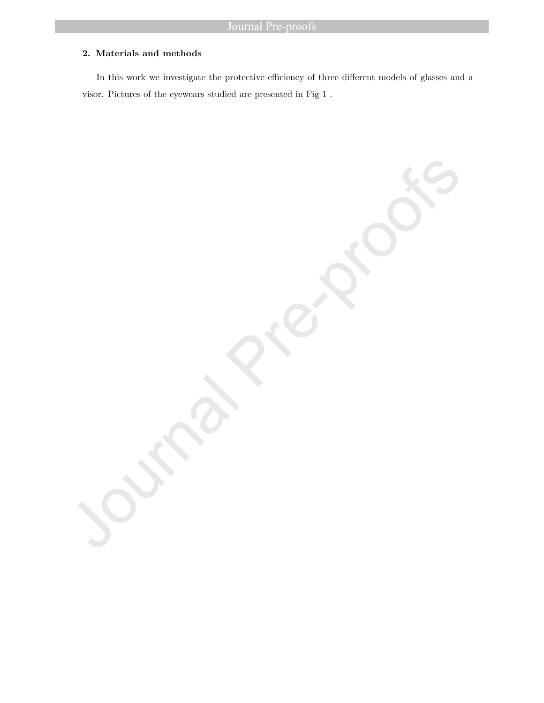### 2. Materials and methods

In this work we investigate the protective efficiency of three different models of glasses and a visor. Pictures of the eyewears studied are presented in Fig 1 .